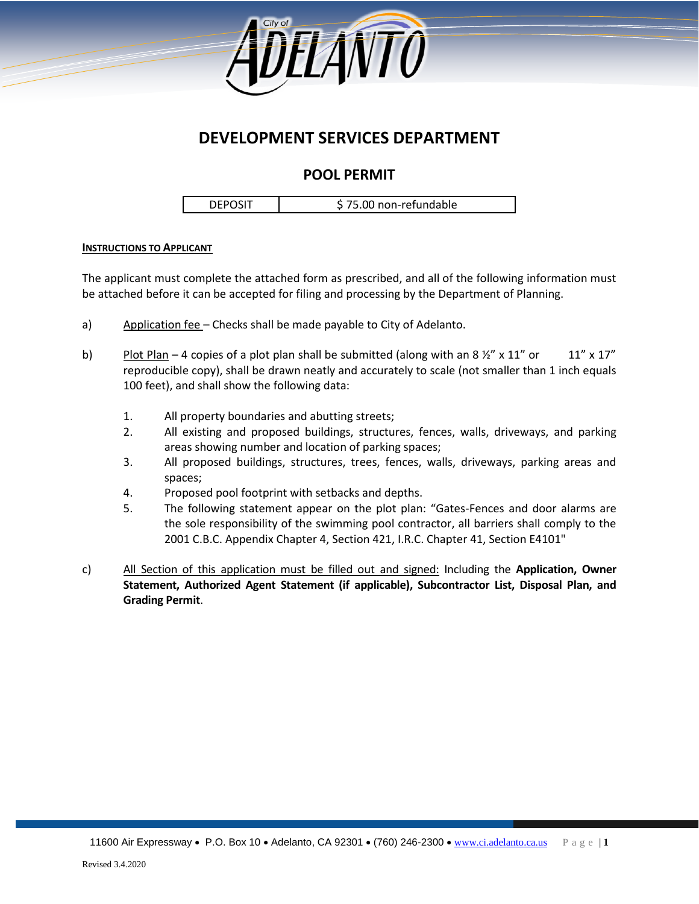

## **DEVELOPMENT SERVICES DEPARTMENT**

### **POOL PERMIT**

DEPOSIT | \$75.00 non-refundable

### **INSTRUCTIONS TO APPLICANT**

The applicant must complete the attached form as prescribed, and all of the following information must be attached before it can be accepted for filing and processing by the Department of Planning.

- a) Application fee Checks shall be made payable to City of Adelanto.
- b) Plot Plan 4 copies of a plot plan shall be submitted (along with an 8  $\frac{1}{2}$ " x 11" or 11" x 17" reproducible copy), shall be drawn neatly and accurately to scale (not smaller than 1 inch equals 100 feet), and shall show the following data:
	- 1. All property boundaries and abutting streets;
	- 2. All existing and proposed buildings, structures, fences, walls, driveways, and parking areas showing number and location of parking spaces;
	- 3. All proposed buildings, structures, trees, fences, walls, driveways, parking areas and spaces;
	- 4. Proposed pool footprint with setbacks and depths.
	- 5. The following statement appear on the plot plan: "Gates-Fences and door alarms are the sole responsibility of the swimming pool contractor, all barriers shall comply to the 2001 C.B.C. Appendix Chapter 4, Section 421, I.R.C. Chapter 41, Section E4101"
- c) All Section of this application must be filled out and signed: Including the **Application, Owner Statement, Authorized Agent Statement (if applicable), Subcontractor List, Disposal Plan, and Grading Permit**.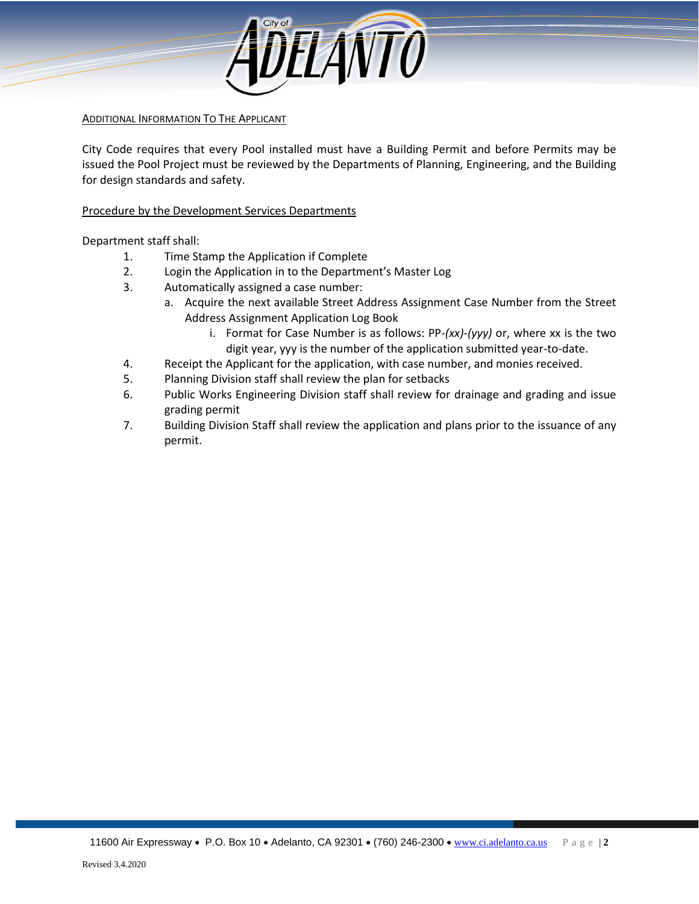

ADDITIONAL INFORMATION TO THE APPLICANT

City Code requires that every Pool installed must have a Building Permit and before Permits may be issued the Pool Project must be reviewed by the Departments of Planning, Engineering, and the Building for design standards and safety.

Procedure by the Development Services Departments

Department staff shall:

- 1. Time Stamp the Application if Complete
- 2. Login the Application in to the Department's Master Log
- 3. Automatically assigned a case number:
	- a. Acquire the next available Street Address Assignment Case Number from the Street Address Assignment Application Log Book
		- i. Format for Case Number is as follows: PP*-(xx)-(yyy)* or, where xx is the two digit year, yyy is the number of the application submitted year-to-date.
- 4. Receipt the Applicant for the application, with case number, and monies received.
- 5. Planning Division staff shall review the plan for setbacks
- 6. Public Works Engineering Division staff shall review for drainage and grading and issue grading permit
- 7. Building Division Staff shall review the application and plans prior to the issuance of any permit.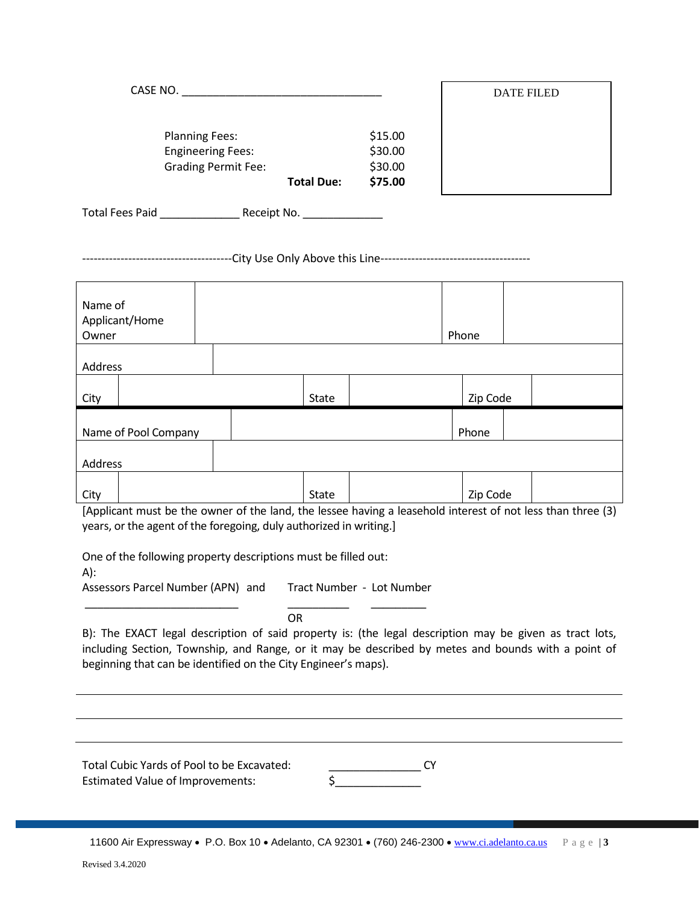|                                                        | <b>Total Due:</b> | \$75.00            |
|--------------------------------------------------------|-------------------|--------------------|
| <b>Engineering Fees:</b><br><b>Grading Permit Fee:</b> |                   | \$30.00<br>\$30.00 |
| <b>Planning Fees:</b>                                  |                   | \$15.00            |
| CASE NO.                                               |                   |                    |

Total Fees Paid \_\_\_\_\_\_\_\_\_\_\_\_\_ Receipt No. \_\_\_\_\_\_\_\_\_\_\_\_\_

---------------------------------------City Use Only Above this Line---------------------------------------

| Name of<br>Applicant/Home<br>Owner |  |       | Phone    |  |
|------------------------------------|--|-------|----------|--|
| Address                            |  |       |          |  |
| City                               |  | State | Zip Code |  |
| Name of Pool Company               |  |       | Phone    |  |
| Address                            |  |       |          |  |
| City                               |  | State | Zip Code |  |

DATE FILED

[Applicant must be the owner of the land, the lessee having a leasehold interest of not less than three (3) years, or the agent of the foregoing, duly authorized in writing.]

One of the following property descriptions must be filled out:

A):

Assessors Parcel Number (APN) and Tract Number - Lot Number \_\_\_\_\_\_\_\_\_\_\_\_\_\_\_\_\_\_\_\_\_\_\_\_\_ \_\_\_\_\_\_\_\_\_\_ \_\_\_\_\_\_\_\_\_

OR

B): The EXACT legal description of said property is: (the legal description may be given as tract lots, including Section, Township, and Range, or it may be described by metes and bounds with a point of beginning that can be identified on the City Engineer's maps).

Total Cubic Yards of Pool to be Excavated: \_\_\_\_\_\_\_\_\_\_\_\_\_\_\_ CY Estimated Value of Improvements: \$\_\_\_\_\_\_\_\_\_\_\_\_\_\_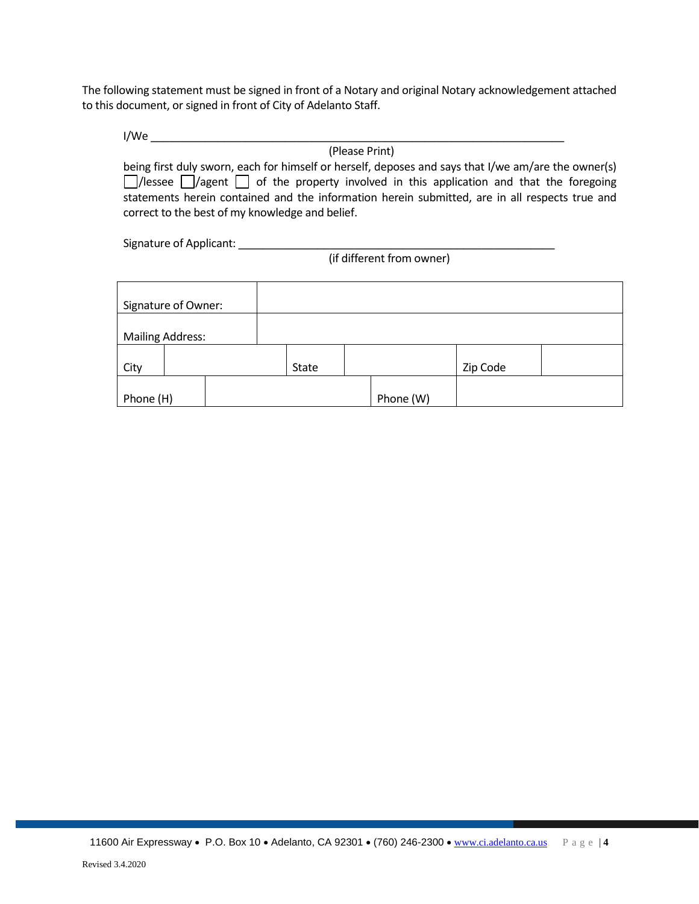The following statement must be signed in front of a Notary and original Notary acknowledgement attached to this document, or signed in front of City of Adelanto Staff.

I/We \_\_\_\_\_\_\_\_\_\_\_\_\_\_\_\_\_\_\_\_\_\_\_\_\_\_\_\_\_\_\_\_\_\_\_\_\_\_\_\_\_\_\_\_\_\_\_\_\_\_\_\_\_\_\_\_\_\_\_\_\_\_\_\_\_\_\_\_

(Please Print) being first duly sworn, each for himself or herself, deposes and says that I/we am/are the owner(s)  $\Box$ /lessee  $\Box$ /agent  $\Box$  of the property involved in this application and that the foregoing statements herein contained and the information herein submitted, are in all respects true and correct to the best of my knowledge and belief.

Signature of Applicant: \_\_\_\_\_\_\_\_\_\_\_\_\_\_\_\_\_\_\_\_\_\_\_\_\_\_\_\_\_\_\_\_\_\_\_\_\_\_\_\_\_\_\_\_\_\_\_\_\_\_\_\_

(if different from owner)

| Signature of Owner:     |              |           |          |  |
|-------------------------|--------------|-----------|----------|--|
| <b>Mailing Address:</b> |              |           |          |  |
| City                    | <b>State</b> |           | Zip Code |  |
| Phone (H)               |              | Phone (W) |          |  |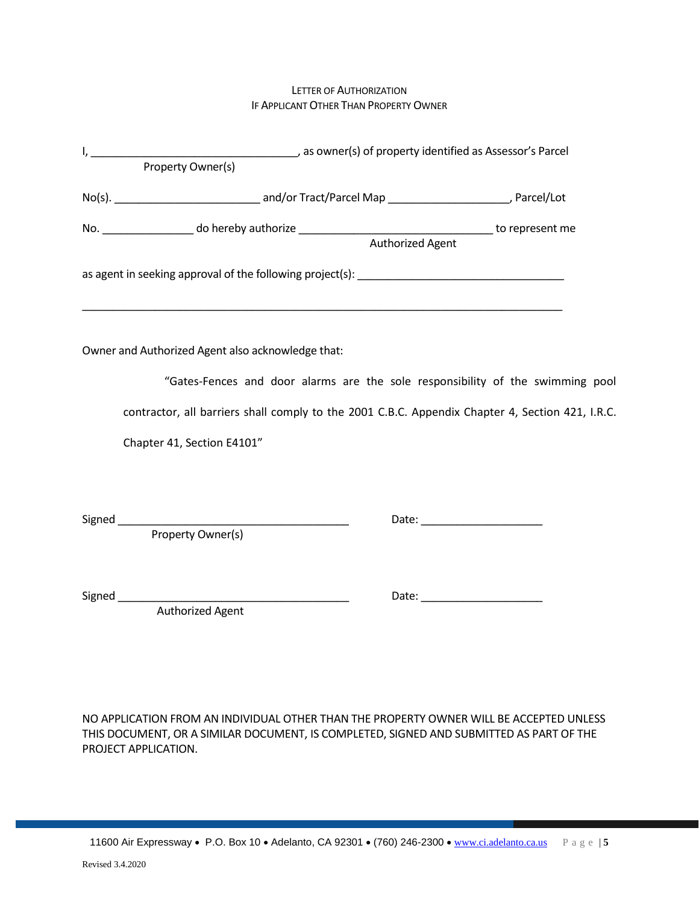### LETTER OF AUTHORIZATION IF APPLICANT OTHER THAN PROPERTY OWNER

|                                                                                                                                     | Authorized Agent |                                                                                                                                                                                                                                |
|-------------------------------------------------------------------------------------------------------------------------------------|------------------|--------------------------------------------------------------------------------------------------------------------------------------------------------------------------------------------------------------------------------|
|                                                                                                                                     |                  |                                                                                                                                                                                                                                |
| Owner and Authorized Agent also acknowledge that:<br>"Gates-Fences and door alarms are the sole responsibility of the swimming pool |                  |                                                                                                                                                                                                                                |
|                                                                                                                                     |                  |                                                                                                                                                                                                                                |
| contractor, all barriers shall comply to the 2001 C.B.C. Appendix Chapter 4, Section 421, I.R.C.                                    |                  |                                                                                                                                                                                                                                |
| Chapter 41, Section E4101"                                                                                                          |                  |                                                                                                                                                                                                                                |
|                                                                                                                                     |                  |                                                                                                                                                                                                                                |
|                                                                                                                                     |                  |                                                                                                                                                                                                                                |
| Property Owner(s)                                                                                                                   |                  |                                                                                                                                                                                                                                |
|                                                                                                                                     |                  | Date: National Property of the Contract of the Contract of the Contract of the Contract of the Contract of the Contract of the Contract of the Contract of the Contract of the Contract of the Contract of the Contract of the |
| <b>Authorized Agent</b>                                                                                                             |                  |                                                                                                                                                                                                                                |

NO APPLICATION FROM AN INDIVIDUAL OTHER THAN THE PROPERTY OWNER WILL BE ACCEPTED UNLESS THIS DOCUMENT, OR A SIMILAR DOCUMENT, IS COMPLETED, SIGNED AND SUBMITTED AS PART OF THE PROJECT APPLICATION.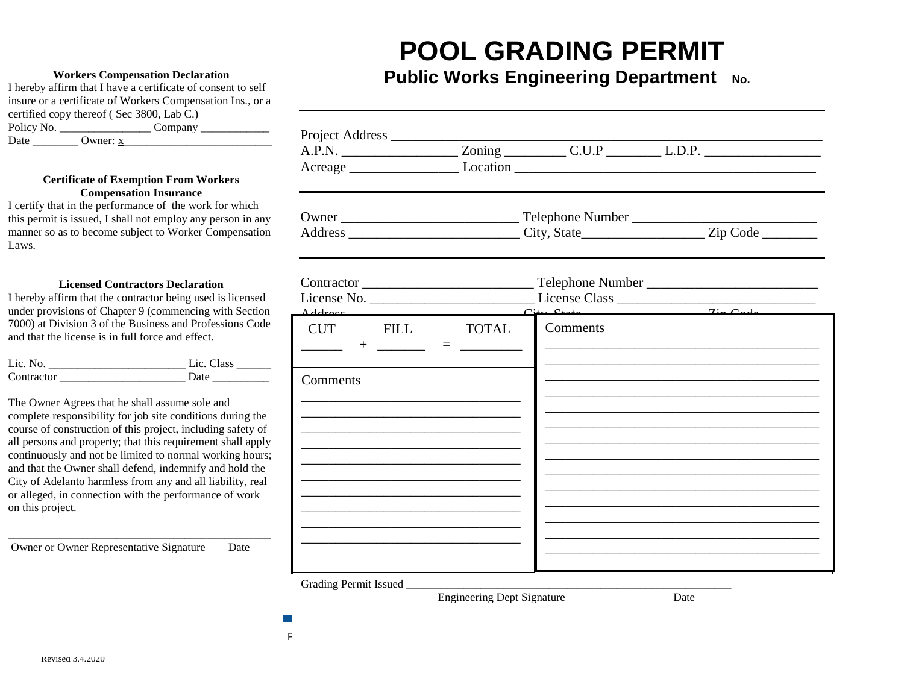# **POOL GRADING PERMIT**

### **Workers Compensation Declaration**

I hereby affirm that I have a certificate of consent to self insure or a certificate of Workers Compensation Ins., or a certified copy thereof ( Sec 3800, Lab C.) Policy No. \_\_\_\_\_\_\_\_\_\_\_\_\_\_\_\_ Company \_\_\_\_\_\_\_\_\_\_\_\_ Date \_\_\_\_\_\_\_\_\_\_\_\_\_ Owner:  $x$ 

### **Certificate of Exemption From Workers Compensation Insurance**

I certify that in the performance of the work for which this permit is issued, I shall not employ any person in any manner so as to become subject to Worker Compensation Laws.

### **Licensed Contractors Declaration**

I hereby affirm that the contractor being used is licensed under provisions of Chapter 9 (commencing with Section 7000) at Division 3 of the Business and Professions Code and that the license is in full force and effect.

| Lic. No.   | Lic. Class |
|------------|------------|
| Contractor | . Into     |

The Owner Agrees that he shall assume sole and complete responsibility for job site conditions during the course of construction of this project, including safety of all persons and property; that this requirement shall apply continuously and not be limited to normal working hours; and that the Owner shall defend, indemnify and hold the City of Adelanto harmless from any and all liability, real or alleged, in connection with the performance of work on this project.

\_\_\_\_\_\_\_\_\_\_\_\_\_\_\_\_\_\_\_\_\_\_\_\_\_\_\_\_\_\_\_\_\_\_\_\_\_\_\_\_\_\_\_\_\_\_

Owner or Owner Representative Signature Date

## **Public Works Engineering Department** No.

|  |                                                                                                                                                                                                                                                                                                                                                                                                                                                                                  | A.P.N. Zoning C.U.P L.D.P. |
|--|----------------------------------------------------------------------------------------------------------------------------------------------------------------------------------------------------------------------------------------------------------------------------------------------------------------------------------------------------------------------------------------------------------------------------------------------------------------------------------|----------------------------|
|  |                                                                                                                                                                                                                                                                                                                                                                                                                                                                                  |                            |
|  |                                                                                                                                                                                                                                                                                                                                                                                                                                                                                  |                            |
|  |                                                                                                                                                                                                                                                                                                                                                                                                                                                                                  |                            |
|  |                                                                                                                                                                                                                                                                                                                                                                                                                                                                                  |                            |
|  |                                                                                                                                                                                                                                                                                                                                                                                                                                                                                  |                            |
|  |                                                                                                                                                                                                                                                                                                                                                                                                                                                                                  |                            |
|  |                                                                                                                                                                                                                                                                                                                                                                                                                                                                                  |                            |
|  |                                                                                                                                                                                                                                                                                                                                                                                                                                                                                  |                            |
|  |                                                                                                                                                                                                                                                                                                                                                                                                                                                                                  |                            |
|  |                                                                                                                                                                                                                                                                                                                                                                                                                                                                                  |                            |
|  |                                                                                                                                                                                                                                                                                                                                                                                                                                                                                  |                            |
|  | CUT FILL TOTAL<br>the control of the control of the control of the control of the control of the control of<br>the control of the control of the control of the control of the control of the control of<br>the control of the control of the control of the control of the control of the control of<br>the control of the control of the control of the control of the control of the control of<br>the control of the control of the control of the control of the control of | Comments                   |

Grading Permit Issued \_\_\_\_\_\_\_\_\_\_\_\_\_\_\_\_\_\_\_\_\_\_\_\_\_\_\_\_\_\_\_\_\_\_\_\_\_\_\_\_\_\_\_\_\_\_\_\_\_\_\_\_\_\_\_\_\_

11600 Air Expressway • P.O. Box 10 • Adelanto, CA 92301 • (760) 246-2300 • [www.ci.adelanto.ca.us](http://www.ci.adelanto.ca.us/) P a g e | **6**

Engineering Dept Signature Date